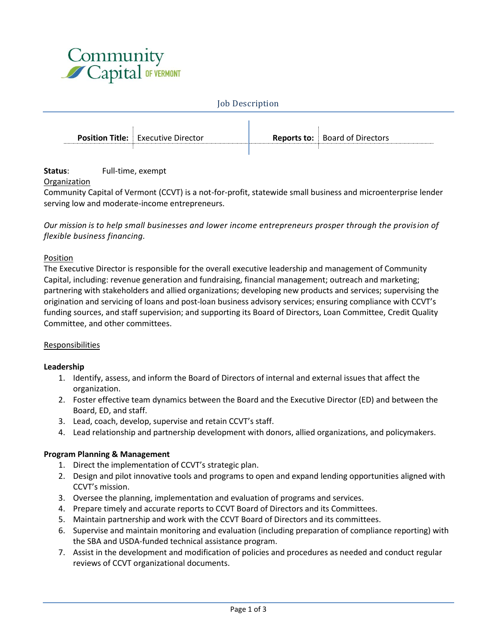

#### Job Description

| <b>Position Title:</b> Executive Director | <b>Reports to:</b> Board of Directors |
|-------------------------------------------|---------------------------------------|
|                                           |                                       |

# **Status**: Full-time, exempt

# Organization

Community Capital of Vermont (CCVT) is a not-for-profit, statewide small business and microenterprise lender serving low and moderate-income entrepreneurs.

*Our mission is to help small businesses and lower income entrepreneurs prosper through the provision of flexible business financing.*

### Position

The Executive Director is responsible for the overall executive leadership and management of Community Capital, including: revenue generation and fundraising, financial management; outreach and marketing; partnering with stakeholders and allied organizations; developing new products and services; supervising the origination and servicing of loans and post-loan business advisory services; ensuring compliance with CCVT's funding sources, and staff supervision; and supporting its Board of Directors, Loan Committee, Credit Quality Committee, and other committees.

### Responsibilities

### **Leadership**

- 1. Identify, assess, and inform the Board of Directors of internal and external issues that affect the organization.
- 2. Foster effective team dynamics between the Board and the Executive Director (ED) and between the Board, ED, and staff.
- 3. Lead, coach, develop, supervise and retain CCVT's staff.
- 4. Lead relationship and partnership development with donors, allied organizations, and policymakers.

### **Program Planning & Management**

- 1. Direct the implementation of CCVT's strategic plan.
- 2. Design and pilot innovative tools and programs to open and expand lending opportunities aligned with CCVT's mission.
- 3. Oversee the planning, implementation and evaluation of programs and services.
- 4. Prepare timely and accurate reports to CCVT Board of Directors and its Committees.
- 5. Maintain partnership and work with the CCVT Board of Directors and its committees.
- 6. Supervise and maintain monitoring and evaluation (including preparation of compliance reporting) with the SBA and USDA-funded technical assistance program.
- 7. Assist in the development and modification of policies and procedures as needed and conduct regular reviews of CCVT organizational documents.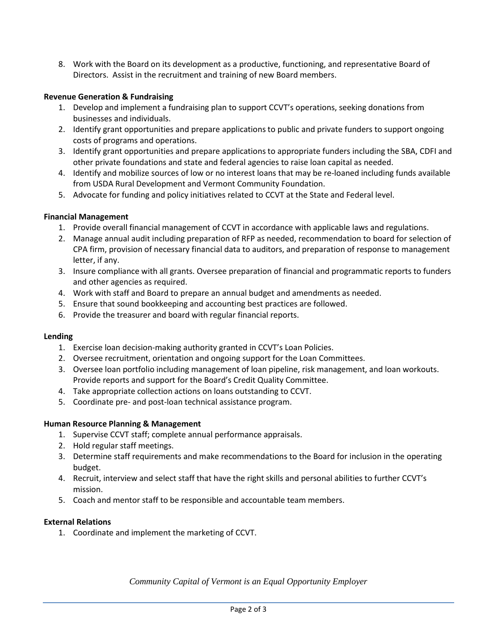8. Work with the Board on its development as a productive, functioning, and representative Board of Directors. Assist in the recruitment and training of new Board members.

### **Revenue Generation & Fundraising**

- 1. Develop and implement a fundraising plan to support CCVT's operations, seeking donations from businesses and individuals.
- 2. Identify grant opportunities and prepare applications to public and private funders to support ongoing costs of programs and operations.
- 3. Identify grant opportunities and prepare applications to appropriate funders including the SBA, CDFI and other private foundations and state and federal agencies to raise loan capital as needed.
- 4. Identify and mobilize sources of low or no interest loans that may be re-loaned including funds available from USDA Rural Development and Vermont Community Foundation.
- 5. Advocate for funding and policy initiatives related to CCVT at the State and Federal level.

# **Financial Management**

- 1. Provide overall financial management of CCVT in accordance with applicable laws and regulations.
- 2. Manage annual audit including preparation of RFP as needed, recommendation to board for selection of CPA firm, provision of necessary financial data to auditors, and preparation of response to management letter, if any.
- 3. Insure compliance with all grants. Oversee preparation of financial and programmatic reports to funders and other agencies as required.
- 4. Work with staff and Board to prepare an annual budget and amendments as needed.
- 5. Ensure that sound bookkeeping and accounting best practices are followed.
- 6. Provide the treasurer and board with regular financial reports.

### **Lending**

- 1. Exercise loan decision-making authority granted in CCVT's Loan Policies.
- 2. Oversee recruitment, orientation and ongoing support for the Loan Committees.
- 3. Oversee loan portfolio including management of loan pipeline, risk management, and loan workouts. Provide reports and support for the Board's Credit Quality Committee.
- 4. Take appropriate collection actions on loans outstanding to CCVT.
- 5. Coordinate pre- and post-loan technical assistance program.

### **Human Resource Planning & Management**

- 1. Supervise CCVT staff; complete annual performance appraisals.
- 2. Hold regular staff meetings.
- 3. Determine staff requirements and make recommendations to the Board for inclusion in the operating budget.
- 4. Recruit, interview and select staff that have the right skills and personal abilities to further CCVT's mission.
- 5. Coach and mentor staff to be responsible and accountable team members.

### **External Relations**

1. Coordinate and implement the marketing of CCVT.

*Community Capital of Vermont is an Equal Opportunity Employer*